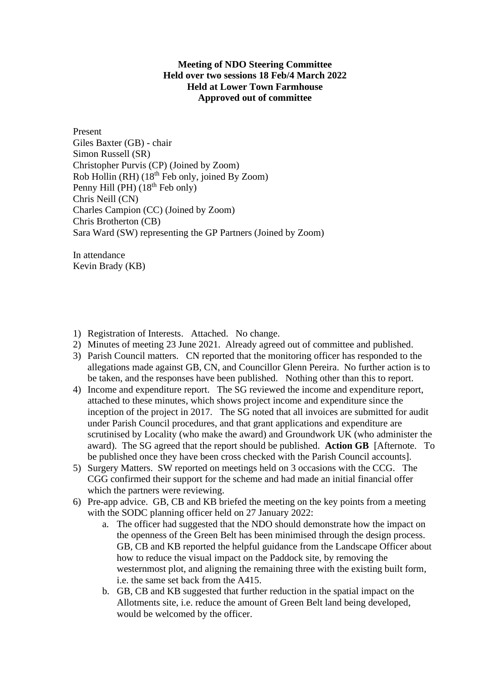## **Meeting of NDO Steering Committee Held over two sessions 18 Feb/4 March 2022 Held at Lower Town Farmhouse Approved out of committee**

Present Giles Baxter (GB) - chair Simon Russell (SR) Christopher Purvis (CP) (Joined by Zoom) Rob Hollin (RH) (18th Feb only, joined By Zoom) Penny Hill (PH) (18<sup>th</sup> Feb only) Chris Neill (CN) Charles Campion (CC) (Joined by Zoom) Chris Brotherton (CB) Sara Ward (SW) representing the GP Partners (Joined by Zoom)

In attendance Kevin Brady (KB)

- 1) Registration of Interests. Attached. No change.
- 2) Minutes of meeting 23 June 2021. Already agreed out of committee and published.
- 3) Parish Council matters. CN reported that the monitoring officer has responded to the allegations made against GB, CN, and Councillor Glenn Pereira. No further action is to be taken, and the responses have been published. Nothing other than this to report.
- 4) Income and expenditure report. The SG reviewed the income and expenditure report, attached to these minutes, which shows project income and expenditure since the inception of the project in 2017. The SG noted that all invoices are submitted for audit under Parish Council procedures, and that grant applications and expenditure are scrutinised by Locality (who make the award) and Groundwork UK (who administer the award). The SG agreed that the report should be published. **Action GB** [Afternote. To be published once they have been cross checked with the Parish Council accounts].
- 5) Surgery Matters. SW reported on meetings held on 3 occasions with the CCG. The CGG confirmed their support for the scheme and had made an initial financial offer which the partners were reviewing.
- 6) Pre-app advice. GB, CB and KB briefed the meeting on the key points from a meeting with the SODC planning officer held on 27 January 2022:
	- a. The officer had suggested that the NDO should demonstrate how the impact on the openness of the Green Belt has been minimised through the design process. GB, CB and KB reported the helpful guidance from the Landscape Officer about how to reduce the visual impact on the Paddock site, by removing the westernmost plot, and aligning the remaining three with the existing built form, i.e. the same set back from the A415.
	- b. GB, CB and KB suggested that further reduction in the spatial impact on the Allotments site, i.e. reduce the amount of Green Belt land being developed, would be welcomed by the officer.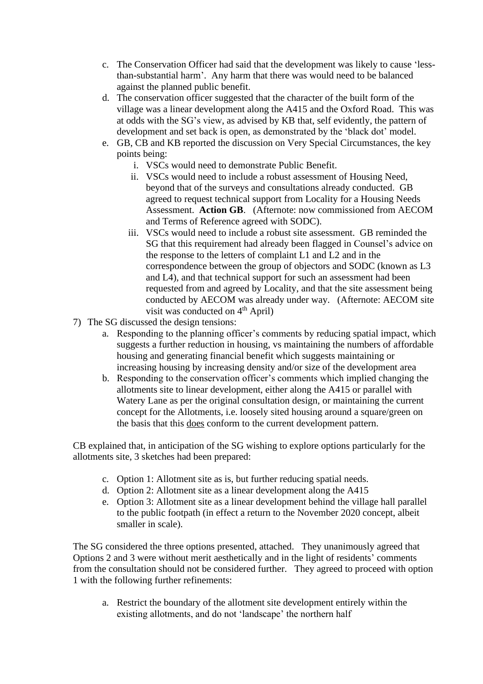- c. The Conservation Officer had said that the development was likely to cause 'lessthan-substantial harm'. Any harm that there was would need to be balanced against the planned public benefit.
- d. The conservation officer suggested that the character of the built form of the village was a linear development along the A415 and the Oxford Road. This was at odds with the SG's view, as advised by KB that, self evidently, the pattern of development and set back is open, as demonstrated by the 'black dot' model.
- e. GB, CB and KB reported the discussion on Very Special Circumstances, the key points being:
	- i. VSCs would need to demonstrate Public Benefit.
	- ii. VSCs would need to include a robust assessment of Housing Need, beyond that of the surveys and consultations already conducted. GB agreed to request technical support from Locality for a Housing Needs Assessment. **Action GB**. (Afternote: now commissioned from AECOM and Terms of Reference agreed with SODC).
	- iii. VSCs would need to include a robust site assessment. GB reminded the SG that this requirement had already been flagged in Counsel's advice on the response to the letters of complaint L1 and L2 and in the correspondence between the group of objectors and SODC (known as L3 and L4), and that technical support for such an assessment had been requested from and agreed by Locality, and that the site assessment being conducted by AECOM was already under way. (Afternote: AECOM site visit was conducted on 4<sup>th</sup> April)
- 7) The SG discussed the design tensions:
	- a. Responding to the planning officer's comments by reducing spatial impact, which suggests a further reduction in housing, vs maintaining the numbers of affordable housing and generating financial benefit which suggests maintaining or increasing housing by increasing density and/or size of the development area
	- b. Responding to the conservation officer's comments which implied changing the allotments site to linear development, either along the A415 or parallel with Watery Lane as per the original consultation design, or maintaining the current concept for the Allotments, i.e. loosely sited housing around a square/green on the basis that this does conform to the current development pattern.

CB explained that, in anticipation of the SG wishing to explore options particularly for the allotments site, 3 sketches had been prepared:

- c. Option 1: Allotment site as is, but further reducing spatial needs.
- d. Option 2: Allotment site as a linear development along the A415
- e. Option 3: Allotment site as a linear development behind the village hall parallel to the public footpath (in effect a return to the November 2020 concept, albeit smaller in scale).

The SG considered the three options presented, attached. They unanimously agreed that Options 2 and 3 were without merit aesthetically and in the light of residents' comments from the consultation should not be considered further. They agreed to proceed with option 1 with the following further refinements:

a. Restrict the boundary of the allotment site development entirely within the existing allotments, and do not 'landscape' the northern half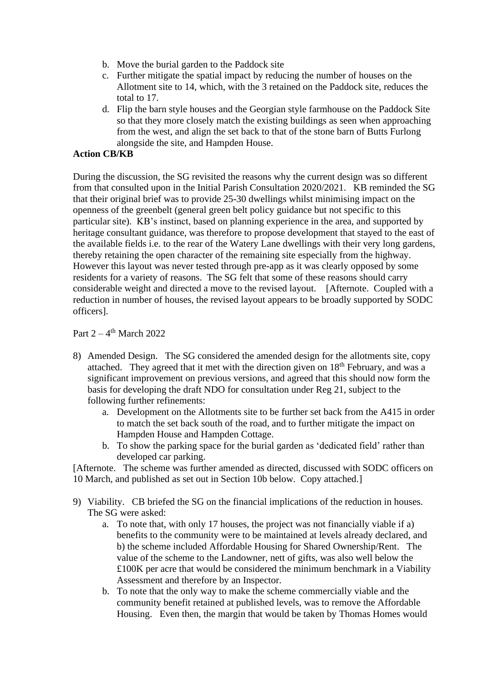- b. Move the burial garden to the Paddock site
- c. Further mitigate the spatial impact by reducing the number of houses on the Allotment site to 14, which, with the 3 retained on the Paddock site, reduces the total to 17.
- d. Flip the barn style houses and the Georgian style farmhouse on the Paddock Site so that they more closely match the existing buildings as seen when approaching from the west, and align the set back to that of the stone barn of Butts Furlong alongside the site, and Hampden House.

## **Action CB/KB**

During the discussion, the SG revisited the reasons why the current design was so different from that consulted upon in the Initial Parish Consultation 2020/2021. KB reminded the SG that their original brief was to provide 25-30 dwellings whilst minimising impact on the openness of the greenbelt (general green belt policy guidance but not specific to this particular site). KB's instinct, based on planning experience in the area, and supported by heritage consultant guidance, was therefore to propose development that stayed to the east of the available fields i.e. to the rear of the Watery Lane dwellings with their very long gardens, thereby retaining the open character of the remaining site especially from the highway. However this layout was never tested through pre-app as it was clearly opposed by some residents for a variety of reasons. The SG felt that some of these reasons should carry considerable weight and directed a move to the revised layout. [Afternote. Coupled with a reduction in number of houses, the revised layout appears to be broadly supported by SODC officers].

## Part  $2 - 4$ <sup>th</sup> March 2022

- 8) Amended Design. The SG considered the amended design for the allotments site, copy attached. They agreed that it met with the direction given on  $18<sup>th</sup>$  February, and was a significant improvement on previous versions, and agreed that this should now form the basis for developing the draft NDO for consultation under Reg 21, subject to the following further refinements:
	- a. Development on the Allotments site to be further set back from the A415 in order to match the set back south of the road, and to further mitigate the impact on Hampden House and Hampden Cottage.
	- b. To show the parking space for the burial garden as 'dedicated field' rather than developed car parking.

[Afternote. The scheme was further amended as directed, discussed with SODC officers on 10 March, and published as set out in Section 10b below. Copy attached.]

- 9) Viability. CB briefed the SG on the financial implications of the reduction in houses. The SG were asked:
	- a. To note that, with only 17 houses, the project was not financially viable if a) benefits to the community were to be maintained at levels already declared, and b) the scheme included Affordable Housing for Shared Ownership/Rent. The value of the scheme to the Landowner, nett of gifts, was also well below the £100K per acre that would be considered the minimum benchmark in a Viability Assessment and therefore by an Inspector.
	- b. To note that the only way to make the scheme commercially viable and the community benefit retained at published levels, was to remove the Affordable Housing. Even then, the margin that would be taken by Thomas Homes would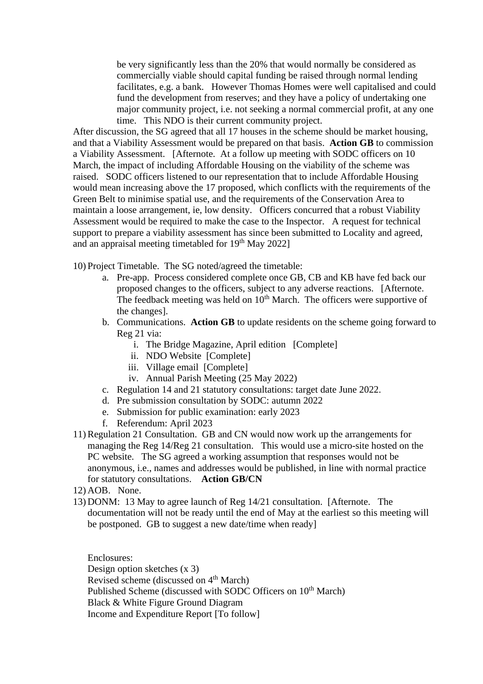be very significantly less than the 20% that would normally be considered as commercially viable should capital funding be raised through normal lending facilitates, e.g. a bank. However Thomas Homes were well capitalised and could fund the development from reserves; and they have a policy of undertaking one major community project, i.e. not seeking a normal commercial profit, at any one time. This NDO is their current community project.

After discussion, the SG agreed that all 17 houses in the scheme should be market housing, and that a Viability Assessment would be prepared on that basis. **Action GB** to commission a Viability Assessment. [Afternote. At a follow up meeting with SODC officers on 10 March, the impact of including Affordable Housing on the viability of the scheme was raised. SODC officers listened to our representation that to include Affordable Housing would mean increasing above the 17 proposed, which conflicts with the requirements of the Green Belt to minimise spatial use, and the requirements of the Conservation Area to maintain a loose arrangement, ie, low density. Officers concurred that a robust Viability Assessment would be required to make the case to the Inspector. A request for technical support to prepare a viability assessment has since been submitted to Locality and agreed, and an appraisal meeting timetabled for  $19<sup>th</sup>$  May 2022]

10) Project Timetable. The SG noted/agreed the timetable:

- a. Pre-app. Process considered complete once GB, CB and KB have fed back our proposed changes to the officers, subject to any adverse reactions. [Afternote. The feedback meeting was held on  $10<sup>th</sup>$  March. The officers were supportive of the changes].
- b. Communications. **Action GB** to update residents on the scheme going forward to Reg 21 via:
	- i. The Bridge Magazine, April edition [Complete]
	- ii. NDO Website [Complete]
	- iii. Village email [Complete]
	- iv. Annual Parish Meeting (25 May 2022)
- c. Regulation 14 and 21 statutory consultations: target date June 2022.
- d. Pre submission consultation by SODC: autumn 2022
- e. Submission for public examination: early 2023
- f. Referendum: April 2023
- 11)Regulation 21 Consultation. GB and CN would now work up the arrangements for managing the Reg 14/Reg 21 consultation. This would use a micro-site hosted on the PC website. The SG agreed a working assumption that responses would not be anonymous, i.e., names and addresses would be published, in line with normal practice for statutory consultations. **Action GB/CN**
- 12) AOB. None.
- 13) DONM: 13 May to agree launch of Reg 14/21 consultation. [Afternote. The documentation will not be ready until the end of May at the earliest so this meeting will be postponed. GB to suggest a new date/time when ready]

Enclosures: Design option sketches (x 3) Revised scheme (discussed on  $4<sup>th</sup>$  March) Published Scheme (discussed with SODC Officers on 10<sup>th</sup> March) Black & White Figure Ground Diagram Income and Expenditure Report [To follow]